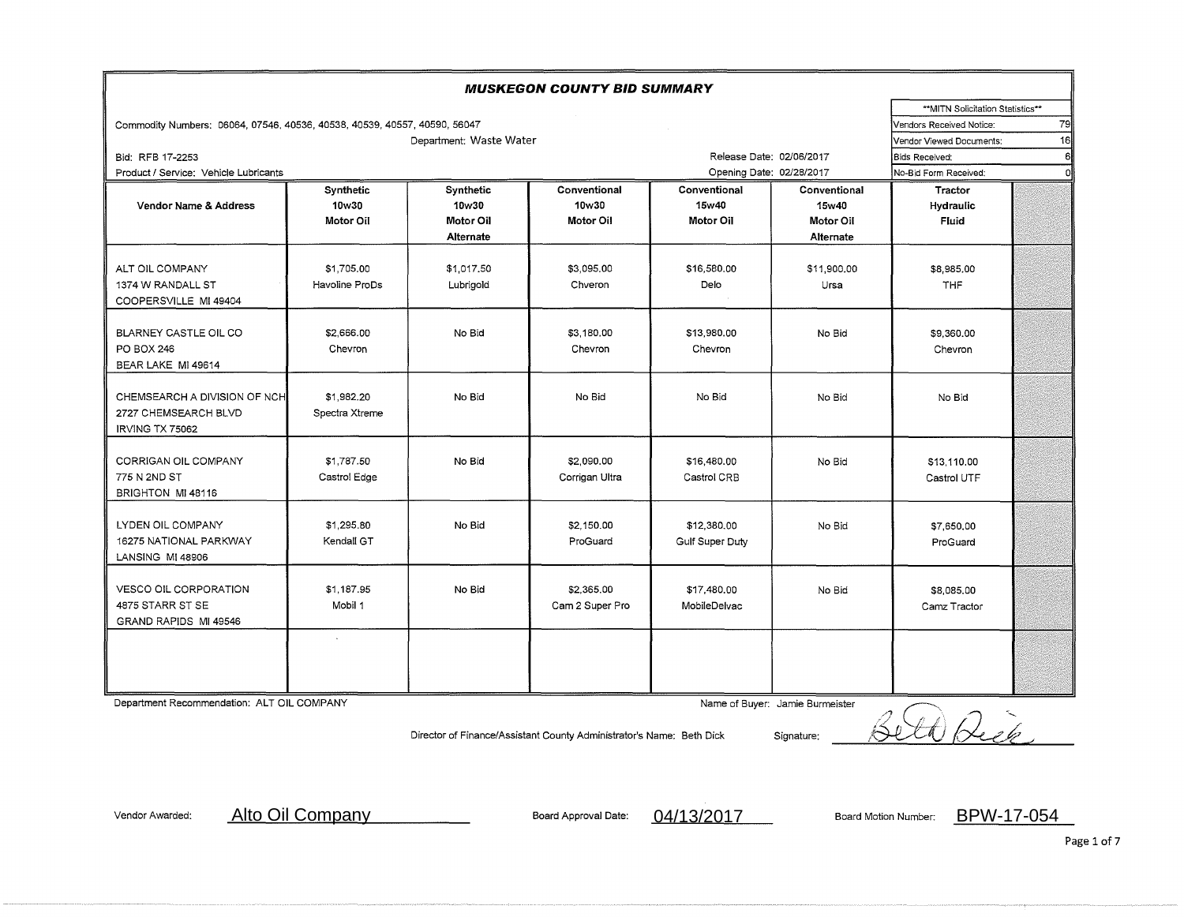| <b>MUSKEGON COUNTY BID SUMMARY</b>                                        |                                |                                  |                       |                       |                          |                       |   |  |
|---------------------------------------------------------------------------|--------------------------------|----------------------------------|-----------------------|-----------------------|--------------------------|-----------------------|---|--|
|                                                                           |                                | **MITN Solicitation Statistics** |                       |                       |                          |                       |   |  |
| Commodity Numbers: 06064, 07546, 40536, 40538, 40539, 40557, 40590, 56047 |                                | 79<br>Vendors Received Notice:   |                       |                       |                          |                       |   |  |
|                                                                           | 16<br>Vendor Viewed Documents: |                                  |                       |                       |                          |                       |   |  |
| Bid: RFB 17-2253                                                          |                                |                                  |                       |                       | Release Date: 02/06/2017 | <b>Bids Received:</b> | 6 |  |
| Product / Service: Vehicle Lubricants                                     |                                |                                  |                       |                       | Opening Date: 02/28/2017 | No-Bid Form Received: |   |  |
| Vendor Name & Address                                                     | Synthetic<br>10w30             | Synthetic<br>10w30               | Conventional<br>10w30 | Conventional<br>15w40 | Conventional<br>15w40    | Tractor<br>Hydraulic  |   |  |
|                                                                           | Motor Oil                      | Motor Oil                        | Motor Oil             | Motor Oil             | Motor Oil                | <b>Fluid</b>          |   |  |
|                                                                           |                                | Alternate                        |                       |                       | Alternate                |                       |   |  |
|                                                                           |                                |                                  |                       |                       |                          |                       |   |  |
| ALT OIL COMPANY                                                           | \$1,705.00                     | \$1,017.50                       | \$3,095,00            | \$16,580.00           | \$11,900.00              | \$8,985,00            |   |  |
| 1374 W RANDALL ST                                                         | Havoline ProDs                 | Lubrigold                        | Chveron               | Delo                  | Ursa                     | THF                   |   |  |
| COOPERSVILLE MI 49404                                                     |                                |                                  |                       |                       |                          |                       |   |  |
|                                                                           |                                |                                  |                       |                       |                          |                       |   |  |
| BLARNEY CASTLE OIL CO                                                     | \$2,666.00                     | No Bid                           | \$3,180,00            | \$13,980.00           | No Bid                   | \$9,360.00            |   |  |
| PO BOX 246                                                                | Chevron                        |                                  | Chevron               | Chevron               |                          | Chevron               |   |  |
| BEAR LAKE MI 49614                                                        |                                |                                  |                       |                       |                          |                       |   |  |
|                                                                           |                                |                                  |                       |                       |                          |                       |   |  |
| CHEMSEARCH A DIVISION OF NCH                                              | \$1,982.20                     | No Bid                           | No Bid                | No Bid                | No Bid                   | No Bid                |   |  |
| 2727 CHEMSEARCH BLVD                                                      | Spectra Xtreme                 |                                  |                       |                       |                          |                       |   |  |
| <b>IRVING TX 75062</b>                                                    |                                |                                  |                       |                       |                          |                       |   |  |
|                                                                           |                                |                                  |                       |                       |                          |                       |   |  |
| CORRIGAN OIL COMPANY                                                      | \$1,787.50                     | No Bid                           | \$2,090,00            | \$16,480.00           | No Bid                   | \$13,110.00           |   |  |
| 775 N 2ND ST                                                              | Castrol Edge                   |                                  | Corrigan Ultra        | Castrol CRB           |                          | Castrol UTF           |   |  |
| BRIGHTON MI 48116                                                         |                                |                                  |                       |                       |                          |                       |   |  |
|                                                                           |                                |                                  |                       |                       |                          |                       |   |  |
| LYDEN OIL COMPANY                                                         | \$1,295.80                     | No Bid                           | \$2,150.00            | \$12,380,00           | No Bid                   | \$7,650,00            |   |  |
| <b>16275 NATIONAL PARKWAY</b>                                             | Kendall GT                     |                                  | ProGuard              | Gulf Super Duty       |                          | ProGuard              |   |  |
| LANSING MI 48906                                                          |                                |                                  |                       |                       |                          |                       |   |  |
|                                                                           |                                |                                  |                       |                       |                          |                       |   |  |
| VESCO OIL CORPORATION                                                     | \$1,187.95                     | No Bid                           | \$2,365.00            | \$17,480.00           | No Bid                   | \$8,085,00            |   |  |
| 4875 STARR ST SE                                                          | Mobil 1                        |                                  | Cam 2 Super Pro       | MobileDelvac          |                          | Camz Tractor          |   |  |
| GRAND RAPIDS MI 49546                                                     |                                |                                  |                       |                       |                          |                       |   |  |
|                                                                           |                                |                                  |                       |                       |                          |                       |   |  |
|                                                                           |                                |                                  |                       |                       |                          |                       |   |  |
|                                                                           |                                |                                  |                       |                       |                          |                       |   |  |
|                                                                           |                                |                                  |                       |                       |                          |                       |   |  |

Department Recommendation: ALT OIL COMPANY Name of Buyer: Jamie Burmeister

Director of Finance/Assistant County Administrator's Name: Beth Dick Signature: /:< llc;;\_' */\_J* ·;. i~v~~\_\_./

Vendor Awarded: Alto Oil Company Manuel Board Approval Date: 04/13/2017 Board Motion Number: BPW-17-054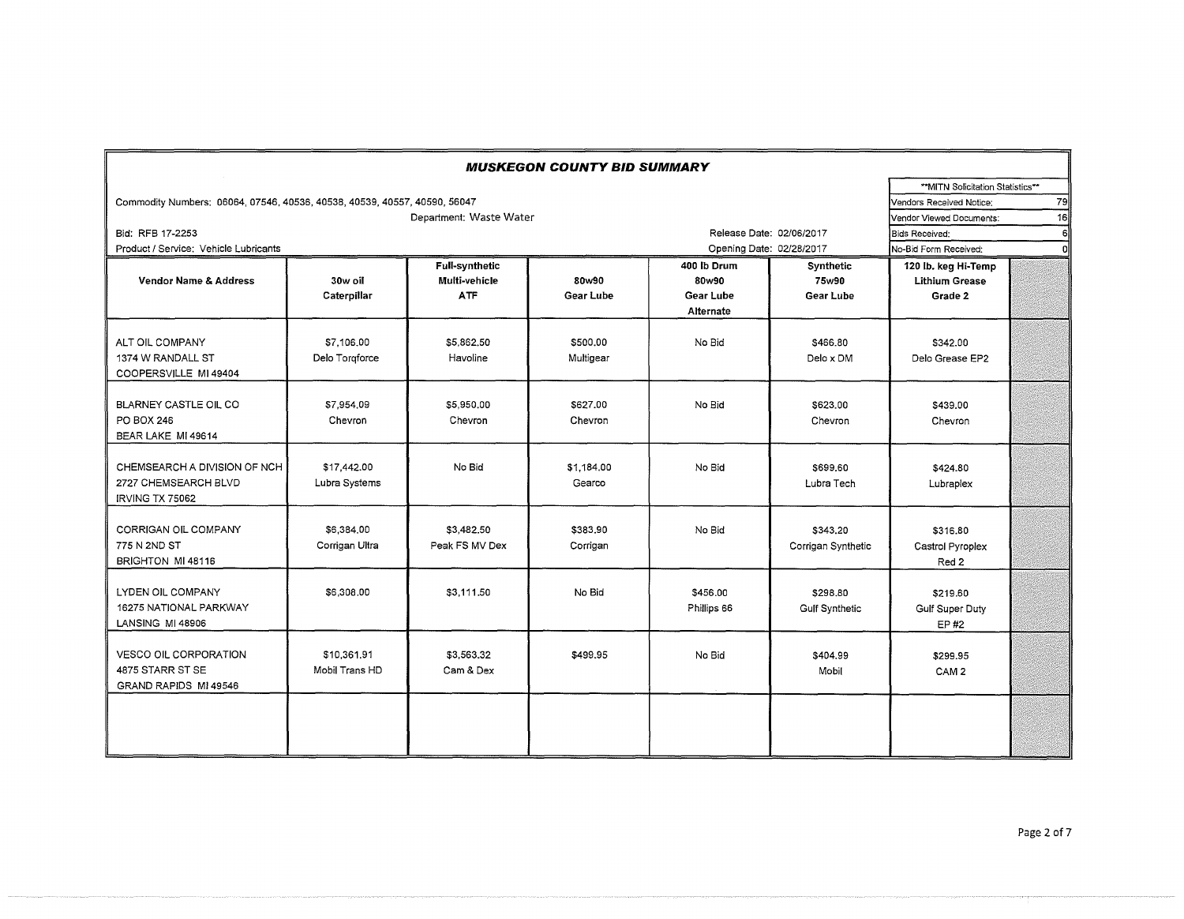|                                                                           |                |                          | <b>MUSKEGON COUNTY BID SUMMARY</b> |                          |                       |                       |    |  |  |  |
|---------------------------------------------------------------------------|----------------|--------------------------|------------------------------------|--------------------------|-----------------------|-----------------------|----|--|--|--|
| **MITN Solicitation Statistics**                                          |                |                          |                                    |                          |                       |                       |    |  |  |  |
| Commodity Numbers: 06064, 07546, 40536, 40538, 40539, 40557, 40590, 56047 |                | Vendors Received Notice: |                                    |                          |                       |                       |    |  |  |  |
|                                                                           |                |                          | Vendor Viewed Documents:           | 16                       |                       |                       |    |  |  |  |
| Bid: RFB 17-2253                                                          |                |                          |                                    | Release Date: 02/06/2017 |                       | <b>Bids Received:</b> | 6l |  |  |  |
| Product / Service: Vehicle Lubricants                                     |                |                          |                                    | Opening Date: 02/28/2017 |                       | No-Bid Form Received: | οl |  |  |  |
|                                                                           |                | <b>Full-synthetic</b>    |                                    | 400 lb Drum              | Synthetic             | 120 lb. keg Hi-Temp   |    |  |  |  |
| <b>Vendor Name &amp; Address</b>                                          | 30w oil        | Multi-vehicle            | 80w90                              | 80w90                    | 75w90                 | <b>Lithium Grease</b> |    |  |  |  |
|                                                                           | Caterpillar    | <b>ATF</b>               | Gear Lube                          | Gear Lube                | Gear Lube             | Grade 2               |    |  |  |  |
|                                                                           |                |                          |                                    | <b>Alternate</b>         |                       |                       |    |  |  |  |
|                                                                           |                |                          |                                    |                          |                       |                       |    |  |  |  |
| ALT OIL COMPANY                                                           | \$7,106,00     | \$5,862,50               | \$500.00                           | No Bid                   | \$466.80              | \$342.00              |    |  |  |  |
| 1374 W RANDALL ST                                                         | Delo Torgforce | Havoline                 | Multigear                          |                          | Delo x DM             | Delo Grease EP2       |    |  |  |  |
| COOPERSVILLE MI 49404                                                     |                |                          |                                    |                          |                       |                       |    |  |  |  |
|                                                                           |                |                          |                                    |                          |                       |                       |    |  |  |  |
| BLARNEY CASTLE OIL CO                                                     | \$7.954.09     | \$5,950.00               | \$627.00                           | No Bid                   | \$623.00              | \$439.00              |    |  |  |  |
| PO BOX 246                                                                | Chevron        | Chevron                  | Chevron                            |                          | Chevron               | Chevron               |    |  |  |  |
| BEAR LAKE MI 49614                                                        |                |                          |                                    |                          |                       |                       |    |  |  |  |
| CHEMSEARCH A DIVISION OF NCH                                              | \$17,442.00    | No Bid                   | \$1,184,00                         | No Bid                   | \$699,60              | \$424.80              |    |  |  |  |
| 2727 CHEMSEARCH BLVD                                                      |                |                          | Gearco                             |                          | Lubra Tech            |                       |    |  |  |  |
| <b>IRVING TX 75062</b>                                                    | Lubra Systems  |                          |                                    |                          |                       | Lubraplex             |    |  |  |  |
|                                                                           |                |                          |                                    |                          |                       |                       |    |  |  |  |
| CORRIGAN OIL COMPANY                                                      | \$6,384.00     | \$3,482.50               | \$383,90                           | No Bid                   | \$343.20              | \$316.80              |    |  |  |  |
| 775 N 2ND ST                                                              | Corrigan Ultra | Peak FS MV Dex           | Corrigan                           |                          | Corrigan Synthetic    | Castrol Pyroplex      |    |  |  |  |
| BRIGHTON MI 48116                                                         |                |                          |                                    |                          |                       | Red 2                 |    |  |  |  |
|                                                                           |                |                          |                                    |                          |                       |                       |    |  |  |  |
| LYDEN OIL COMPANY                                                         | \$6,308,00     | \$3,111.50               | No Bid                             | \$456.00                 | \$298.80              | \$219.60              |    |  |  |  |
| 16275 NATIONAL PARKWAY                                                    |                |                          |                                    | Phillips 66              | <b>Gulf Synthetic</b> | Gulf Super Duty       |    |  |  |  |
| <b>LANSING MI 48906</b>                                                   |                |                          |                                    |                          |                       | EP #2                 |    |  |  |  |
|                                                                           |                |                          |                                    |                          |                       |                       |    |  |  |  |
| <b>VESCO OIL CORPORATION</b>                                              | \$10,361,91    | \$3,563.32               | \$499.95                           | No Bid                   | \$404.99              | \$299.95              |    |  |  |  |
| 4875 STARR ST SE                                                          | Mobil Trans HD | Cam & Dex                |                                    |                          | Mobil                 | CAM <sub>2</sub>      |    |  |  |  |
| GRAND RAPIDS MI 49546                                                     |                |                          |                                    |                          |                       |                       |    |  |  |  |
|                                                                           |                |                          |                                    |                          |                       |                       |    |  |  |  |
|                                                                           |                |                          |                                    |                          |                       |                       |    |  |  |  |
|                                                                           |                |                          |                                    |                          |                       |                       |    |  |  |  |
|                                                                           |                |                          |                                    |                          |                       |                       |    |  |  |  |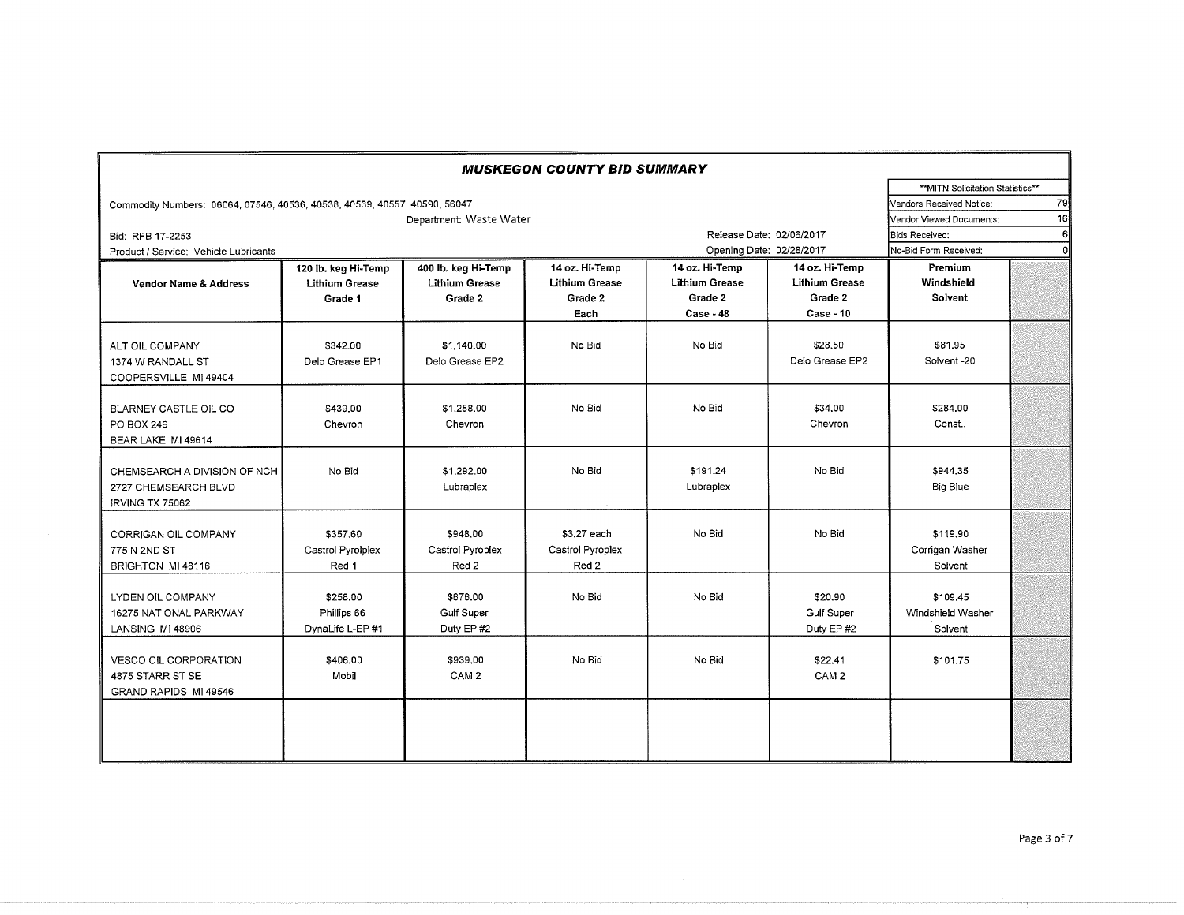|                                                                           |                                                         |                                                         | <b>MUSKEGON COUNTY BID SUMMARY</b>                         |                                                                 |                                                                        |                                          |    |
|---------------------------------------------------------------------------|---------------------------------------------------------|---------------------------------------------------------|------------------------------------------------------------|-----------------------------------------------------------------|------------------------------------------------------------------------|------------------------------------------|----|
|                                                                           |                                                         |                                                         |                                                            |                                                                 |                                                                        | **MITN Solicitation Statistics**         |    |
| Commodity Numbers: 06064, 07546, 40536, 40538, 40539, 40557, 40590, 56047 | Vendors Received Notice:                                |                                                         |                                                            |                                                                 |                                                                        |                                          |    |
|                                                                           | Vendor Viewed Documents:                                |                                                         |                                                            |                                                                 |                                                                        |                                          |    |
| Bid: RFB 17-2253                                                          | Release Date: 02/06/2017                                | <b>Bids Received:</b>                                   | 6                                                          |                                                                 |                                                                        |                                          |    |
| Product / Service: Vehicle Lubricants                                     |                                                         |                                                         |                                                            | Opening Date: 02/28/2017                                        |                                                                        | No-Bid Form Received:                    | ΩI |
| <b>Vendor Name &amp; Address</b>                                          | 120 lb. keg Hi-Temp<br><b>Lithium Grease</b><br>Grade 1 | 400 lb. keg Hi-Temp<br><b>Lithium Grease</b><br>Grade 2 | 14 oz. Hi-Temp<br><b>Lithium Grease</b><br>Grade 2<br>Each | 14 oz. Hi-Temp<br><b>Lithium Grease</b><br>Grade 2<br>Case - 48 | 14 oz. Hi-Temp<br><b>Lithium Grease</b><br>Grade 2<br><b>Case - 10</b> | Premium<br>Windshield<br>Solvent         |    |
| ALT OIL COMPANY<br>1374 W RANDALL ST<br>COOPERSVILLE MI 49404             | \$342.00<br>Delo Grease EP1                             | \$1,140,00<br>Delo Grease EP2                           | No Bid                                                     | No Bid                                                          | \$28.50<br>Delo Grease EP2                                             | \$81.95<br>Solvent-20                    |    |
| BLARNEY CASTLE OIL CO<br>PO BOX 246<br>BEAR LAKE MI 49614                 | \$439.00<br>Chevron                                     | \$1,258.00<br>Chevron                                   | No Bid                                                     | No Bid                                                          | \$34,00<br>Chevron                                                     | \$284.00<br>Const                        |    |
| CHEMSEARCH A DIVISION OF NCH<br>2727 CHEMSEARCH BLVD<br>IRVING TX 75062   | No Bid                                                  | \$1,292.00<br>Lubraplex                                 | No Bid                                                     | \$191.24<br>Lubraplex                                           | No Bid                                                                 | \$944.35<br>Big Blue                     |    |
| CORRIGAN OIL COMPANY<br>775 N 2ND ST<br>BRIGHTON MI 48116                 | \$357.60<br>Castrol Pyrolplex<br>Red 1                  | \$948.00<br>Castrol Pyroplex<br>Red 2                   | \$3.27 each<br>Castrol Pyroplex<br>Red 2                   | No Bid                                                          | No Bid                                                                 | \$119.90<br>Corrigan Washer<br>Solvent   |    |
| LYDEN OIL COMPANY<br>16275 NATIONAL PARKWAY<br>LANSING MI 48906           | \$258.00<br>Phillips 66<br>DynaLife L-EP #1             | \$676.00<br><b>Gulf Super</b><br>Duty EP #2             | No Bid                                                     | No Bid                                                          | \$20.90<br><b>Gulf Super</b><br>Duty EP #2                             | \$109.45<br>Windshield Washer<br>Solvent |    |
| <b>VESCO OIL CORPORATION</b><br>4875 STARR ST SE<br>GRAND RAPIDS MI 49546 | \$406.00<br>Mobil                                       | \$939.00<br>CAM <sub>2</sub>                            | No Bid                                                     | No Bid                                                          | \$22.41<br>CAM <sub>2</sub>                                            | \$101.75                                 |    |
|                                                                           |                                                         |                                                         |                                                            |                                                                 |                                                                        |                                          |    |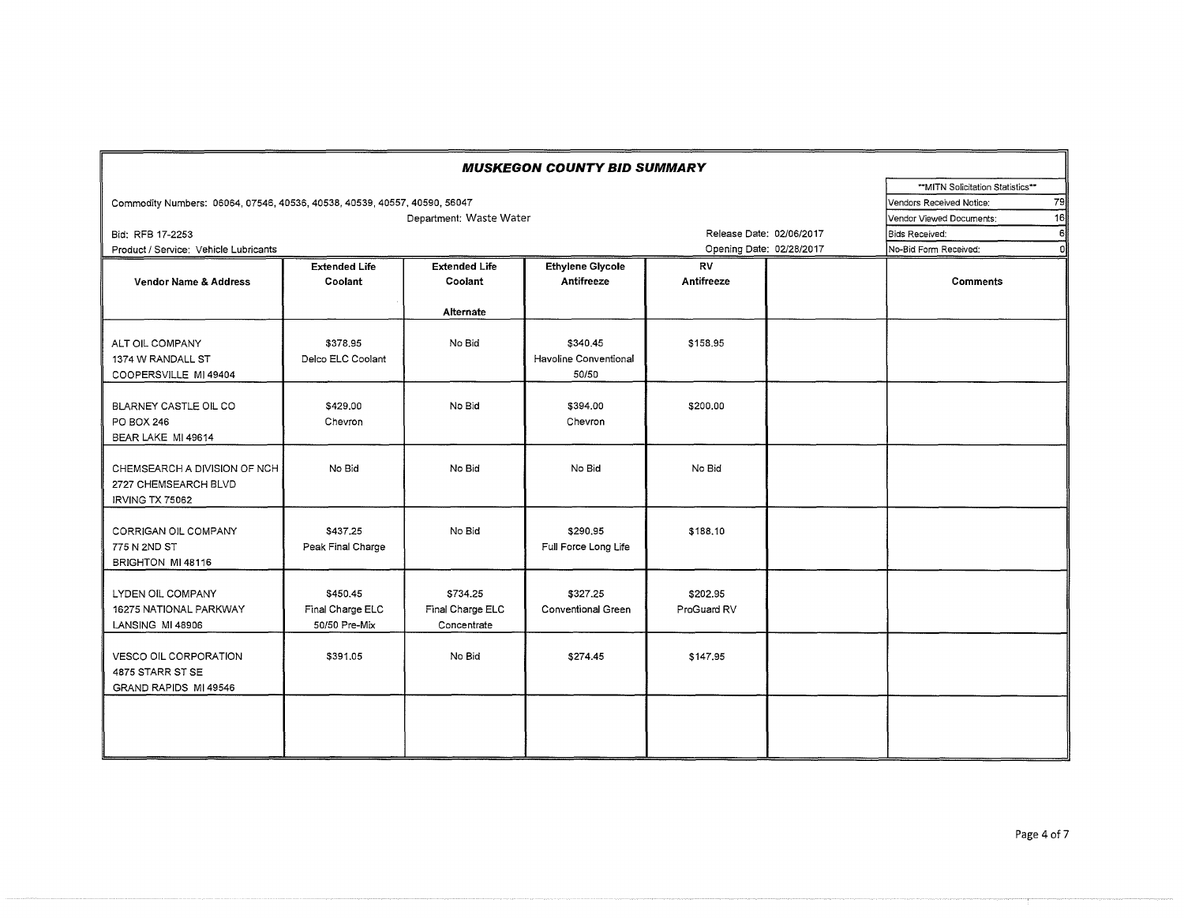| <b>MUSKEGON COUNTY BID SUMMARY</b>                                             |                                                          |                                             |                                            |                                                      |  |                                |  |  |
|--------------------------------------------------------------------------------|----------------------------------------------------------|---------------------------------------------|--------------------------------------------|------------------------------------------------------|--|--------------------------------|--|--|
|                                                                                |                                                          | ** MITN Solicitation Statistics**<br>79     |                                            |                                                      |  |                                |  |  |
| Commodity Numbers: 06064, 07546, 40536, 40538, 40539, 40557, 40590, 56047      |                                                          | Department: Waste Water                     |                                            |                                                      |  | Vendors Received Notice:<br>16 |  |  |
|                                                                                | Vendor Viewed Documents:<br>6ll<br><b>Bids Received:</b> |                                             |                                            |                                                      |  |                                |  |  |
| Bid: RFB 17-2253<br>Product / Service: Vehicle Lubricants                      |                                                          |                                             |                                            | Release Date: 02/06/2017<br>Opening Date: 02/28/2017 |  | No-Bid Form Received:<br>Ωľ    |  |  |
|                                                                                | <b>Extended Life</b>                                     | <b>Extended Life</b>                        |                                            | <b>RV</b>                                            |  |                                |  |  |
| <b>Vendor Name &amp; Address</b>                                               | Coolant                                                  | Coolant                                     | <b>Ethylene Glycole</b><br>Antifreeze      | Antifreeze                                           |  | <b>Comments</b>                |  |  |
|                                                                                |                                                          | Alternate                                   |                                            |                                                      |  |                                |  |  |
| ALT OIL COMPANY<br>1374 W RANDALL ST<br>COOPERSVILLE MI 49404                  | \$378.95<br>Delco ELC Coolant                            | No Bid                                      | \$340.45<br>Havoline Conventional<br>50/50 | \$158.95                                             |  |                                |  |  |
| BLARNEY CASTLE OIL CO<br><b>PO BOX 246</b><br>BEAR LAKE MI 49614               | \$429.00<br>Chevron                                      | No Bid                                      | \$394.00<br>Chevron                        | \$200.00                                             |  |                                |  |  |
| CHEMSEARCH A DIVISION OF NCH<br>2727 CHEMSEARCH BLVD<br><b>IRVING TX 75062</b> | No Bid                                                   | No Bid                                      | No Bid                                     | No Bid                                               |  |                                |  |  |
| CORRIGAN OIL COMPANY<br>775 N 2ND ST<br>BRIGHTON MI 48116                      | \$437.25<br>Peak Final Charge                            | No Bid                                      | \$290.95<br>Full Force Long Life           | \$188,10                                             |  |                                |  |  |
| LYDEN OIL COMPANY<br>16275 NATIONAL PARKWAY<br>LANSING MI 48906                | \$450.45<br>Final Charge ELC<br>50/50 Pre-Mix            | \$734.25<br>Final Charge ELC<br>Concentrate | \$327.25<br>Conventional Green             | \$202.95<br>ProGuard RV                              |  |                                |  |  |
| <b>VESCO OIL CORPORATION</b><br>4875 STARR ST SE<br>GRAND RAPIDS MI 49546      | \$391.05                                                 | No Bid                                      | \$274.45                                   | \$147.95                                             |  |                                |  |  |
|                                                                                |                                                          |                                             |                                            |                                                      |  |                                |  |  |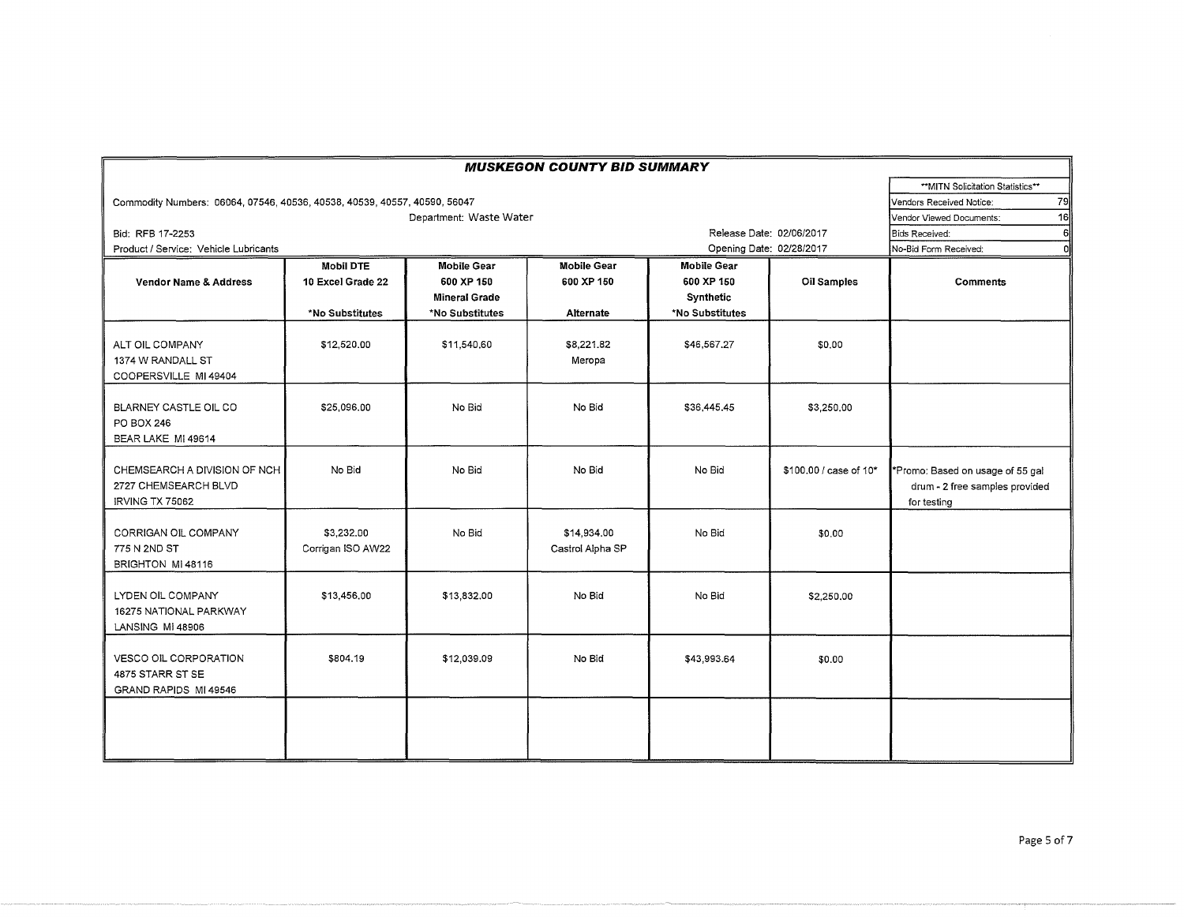| <b>MUSKEGON COUNTY BID SUMMARY</b>                                        |                                  |                      |                                 |                          |                        |                                                                                   |  |  |  |  |
|---------------------------------------------------------------------------|----------------------------------|----------------------|---------------------------------|--------------------------|------------------------|-----------------------------------------------------------------------------------|--|--|--|--|
|                                                                           | **MITN Solicitation Statistics** |                      |                                 |                          |                        |                                                                                   |  |  |  |  |
| Commodity Numbers: 06064, 07546, 40536, 40538, 40539, 40557, 40590, 56047 | 79<br>Vendors Received Notice:   |                      |                                 |                          |                        |                                                                                   |  |  |  |  |
|                                                                           | 16<br>Vendor Viewed Documents:   |                      |                                 |                          |                        |                                                                                   |  |  |  |  |
| Bid: RFB 17-2253                                                          |                                  |                      |                                 | Release Date: 02/06/2017 |                        | 6<br><b>Bids Received:</b>                                                        |  |  |  |  |
| Product / Service: Vehicle Lubricants                                     |                                  |                      |                                 | Opening Date: 02/28/2017 |                        | No-Bid Form Received:<br>$\Omega$                                                 |  |  |  |  |
|                                                                           | <b>Mobil DTE</b>                 | <b>Mobile Gear</b>   | <b>Mobile Gear</b>              | <b>Mobile Gear</b>       |                        |                                                                                   |  |  |  |  |
| <b>Vendor Name &amp; Address</b>                                          | 10 Excel Grade 22                | 600 XP 150           | 600 XP 150                      | 600 XP 150               | <b>Oil Samples</b>     | <b>Comments</b>                                                                   |  |  |  |  |
|                                                                           |                                  | <b>Mineral Grade</b> |                                 | Synthetic                |                        |                                                                                   |  |  |  |  |
|                                                                           | *No Substitutes                  | *No Substitutes      | <b>Alternate</b>                | *No Substitutes          |                        |                                                                                   |  |  |  |  |
| ALT OIL COMPANY<br>1374 W RANDALL ST<br>COOPERSVILLE MI 49404             | \$12,520.00                      | \$11,540,60          | \$8,221.82<br>Meropa            | \$46,567,27              | \$0.00                 |                                                                                   |  |  |  |  |
| BLARNEY CASTLE OIL CO<br>PO BOX 246<br>BEAR LAKE MI 49614                 | \$25,096.00                      | No Bid               | No Bid                          | \$36 445.45              | \$3,250,00             |                                                                                   |  |  |  |  |
| CHEMSEARCH A DIVISION OF NCH<br>2727 CHEMSEARCH BLVD<br>IRVING TX 75062   | No Bid                           | No Bid               | No Bid                          | No Bid                   | \$100,00 / case of 10* | *Promo: Based on usage of 55 gal<br>drum - 2 free samples provided<br>for testing |  |  |  |  |
| CORRIGAN OIL COMPANY<br>775 N 2ND ST<br>BRIGHTON MI 48116                 | \$3,232.00<br>Corrigan ISO AW22  | No Bid               | \$14,934.00<br>Castrol Alpha SP | No Bid                   | \$0.00                 |                                                                                   |  |  |  |  |
| LYDEN OIL COMPANY<br>16275 NATIONAL PARKWAY<br>LANSING MI 48906           | \$13,456.00                      | \$13,832.00          | No Bid                          | No Bid                   | \$2,250.00             |                                                                                   |  |  |  |  |
| <b>VESCO OIL CORPORATION</b><br>4875 STARR ST SE<br>GRAND RAPIDS MI 49546 | \$804.19                         | \$12,039.09          | No Bid                          | \$43,993.64              | \$0.00                 |                                                                                   |  |  |  |  |
|                                                                           |                                  |                      |                                 |                          |                        |                                                                                   |  |  |  |  |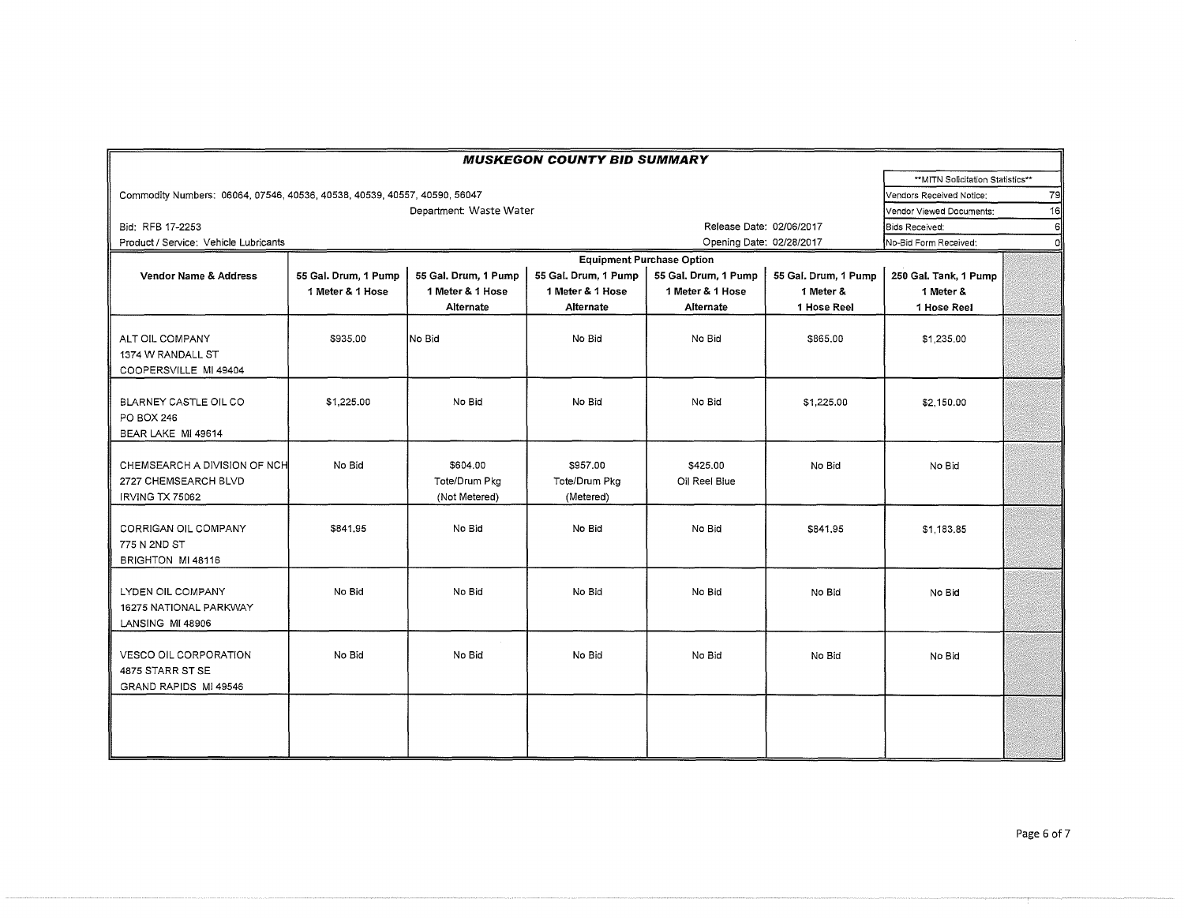| <b>MUSKEGON COUNTY BID SUMMARY</b>                                        |                                   |                      |                      |                                  |                      |                       |   |  |
|---------------------------------------------------------------------------|-----------------------------------|----------------------|----------------------|----------------------------------|----------------------|-----------------------|---|--|
|                                                                           | ** MITN Solicitation Statistics** |                      |                      |                                  |                      |                       |   |  |
| Commodity Numbers: 06064, 07546, 40536, 40538, 40539, 40557, 40590, 56047 | Vendors Received Notice:          |                      |                      |                                  |                      |                       |   |  |
|                                                                           | Vendor Viewed Documents:          |                      |                      |                                  |                      |                       |   |  |
| Bid: RFB 17-2253                                                          | Bids Received:                    | 6                    |                      |                                  |                      |                       |   |  |
| Product / Service: Vehicle Lubricants                                     |                                   |                      |                      | Opening Date: 02/28/2017         |                      | No-Bid Form Received: | n |  |
|                                                                           |                                   |                      |                      | <b>Equipment Purchase Option</b> |                      |                       |   |  |
| Vendor Name & Address                                                     | 55 Gal. Drum, 1 Pump              | 55 Gal. Drum, 1 Pump | 55 Gal, Drum, 1 Pump | 55 Gal, Drum, 1 Pump             | 55 Gal. Drum, 1 Pump | 250 Gal. Tank, 1 Pump |   |  |
|                                                                           | 1 Meter & 1 Hose                  | 1 Meter & 1 Hose     | 1 Meter & 1 Hose     | 1 Meter & 1 Hose                 | 1 Meter &            | 1 Meter &             |   |  |
|                                                                           |                                   | Alternate            | Alternate            | Alternate                        | 1 Hose Reel          | 1 Hose Reel           |   |  |
|                                                                           |                                   |                      |                      |                                  |                      |                       |   |  |
| ALT OIL COMPANY                                                           | \$935.00                          | No Bid               | No Bid               | No Bid                           | \$865.00             | \$1,235.00            |   |  |
| 1374 W RANDALL ST                                                         |                                   |                      |                      |                                  |                      |                       |   |  |
| COOPERSVILLE MI 49404                                                     |                                   |                      |                      |                                  |                      |                       |   |  |
|                                                                           |                                   |                      |                      |                                  |                      |                       |   |  |
| BLARNEY CASTLE OIL CO                                                     | \$1,225.00                        | No Bid               | No Bid               | No Bid                           | \$1,225,00           | \$2,150.00            |   |  |
| PO BOX 246                                                                |                                   |                      |                      |                                  |                      |                       |   |  |
| BEAR LAKE MI 49614                                                        |                                   |                      |                      |                                  |                      |                       |   |  |
|                                                                           |                                   |                      |                      |                                  |                      |                       |   |  |
| CHEMSEARCH A DIVISION OF NCH                                              | No Bid                            | \$604.00             | \$957.00             | \$425.00                         | No Bid               | No Bid                |   |  |
| 2727 CHEMSEARCH BLVD                                                      |                                   | Tote/Drum Pkg        | Tote/Drum Pkg        | Oil Reel Blue                    |                      |                       |   |  |
| <b>IRVING TX 75062</b>                                                    |                                   | (Not Metered)        | (Metered)            |                                  |                      |                       |   |  |
|                                                                           |                                   |                      |                      |                                  |                      |                       |   |  |
| CORRIGAN OIL COMPANY                                                      | \$841.95                          | No Bid               | No Bid               | No Bid                           | \$841.95             | \$1,183,85            |   |  |
| 775 N 2ND ST                                                              |                                   |                      |                      |                                  |                      |                       |   |  |
| BRIGHTON MI 48116                                                         |                                   |                      |                      |                                  |                      |                       |   |  |
|                                                                           |                                   |                      |                      |                                  |                      |                       |   |  |
| LYDEN OIL COMPANY                                                         | No Bid                            | No Bid               | No Bid               | No Bid                           | No Bid               | No Bid                |   |  |
| 16275 NATIONAL PARKWAY                                                    |                                   |                      |                      |                                  |                      |                       |   |  |
| LANSING MI 48906                                                          |                                   |                      |                      |                                  |                      |                       |   |  |
|                                                                           |                                   |                      |                      |                                  |                      |                       |   |  |
| <b>VESCO OIL CORPORATION</b>                                              | No Bid                            | No Bid               | No Bid               | No Bid                           | No Bid               | No Bid                |   |  |
| 4875 STARR ST SE                                                          |                                   |                      |                      |                                  |                      |                       |   |  |
| GRAND RAPIDS MI 49546                                                     |                                   |                      |                      |                                  |                      |                       |   |  |
|                                                                           |                                   |                      |                      |                                  |                      |                       |   |  |
|                                                                           |                                   |                      |                      |                                  |                      |                       |   |  |
|                                                                           |                                   |                      |                      |                                  |                      |                       |   |  |
|                                                                           |                                   |                      |                      |                                  |                      |                       |   |  |